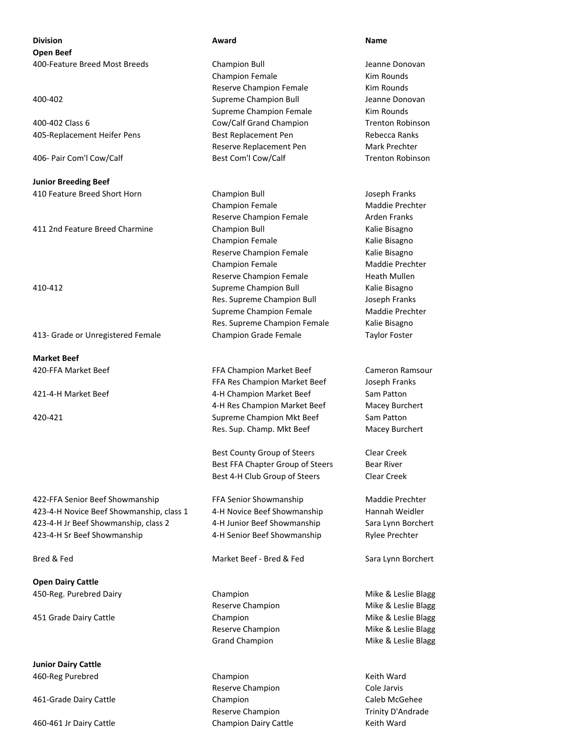**Division Award Name Open Beef** 400-Feature Breed Most Breeds Champion Bull Jeanne Donovan

405-Replacement Heifer Pens Best Replacement Pen Rebecca Ranks

**Junior Breeding Beef** 410 Feature Breed Short Horn Champion Bull Joseph Franks

## 413- Grade or Unregistered Female Champion Grade Female Taylor Foster

**Market Beef**

422-FFA Senior Beef Showmanship FFA Senior Showmanship Maddie Prechter 423-4-H Novice Beef Showmanship, class 1 4-H Novice Beef Showmanship Hannah Weidler 423-4-H Jr Beef Showmanship, class 2 4-H Junior Beef Showmanship Sara Lynn Borchert 423-4-H Sr Beef Showmanship 4-H Senior Beef Showmanship Rylee Prechter

**Open Dairy Cattle** 450-Reg. Purebred Dairy **Champion** Champion **Mike & Leslie Blagg** 

451 Grade Dairy Cattle **Champion** Champion Champion Champion Mike & Leslie Blagg

**Junior Dairy Cattle** 460-Reg Purebred Champion Keith Ward

Champion Female Kim Rounds Reserve Champion Female Kim Rounds 400-402 Supreme Champion Bull Jeanne Donovan Supreme Champion Female Kim Rounds 400-402 Class 6 Cow/Calf Grand Champion Trenton Robinson Reserve Replacement Pen Mark Prechter 406- Pair Com'l Cow/Calf Best Com'l Cow/Calf Trenton Robinson

Champion Female Maddie Prechter Reserve Champion Female **Arden Franks** 411 2nd Feature Breed Charmine **Champion Bull** Champion Bull Kalie Bisagno Champion Female **Kalie Bisagno** Reserve Champion Female Kalie Bisagno Champion Female Maddie Prechter Reserve Champion Female Heath Mullen 410-412 Supreme Champion Bull Kalie Bisagno Res. Supreme Champion Bull **Joseph Franks** Supreme Champion Female Maddie Prechter Res. Supreme Champion Female Kalie Bisagno

420-FFA Market Beef FFA Champion Market Beef Cameron Ramsour FFA Res Champion Market Beef Joseph Franks 421-4-H Market Beef **All and Armstrandy Communist Champion Market Beef** Sam Patton 4-H Res Champion Market Beef Macey Burchert 420-421 Supreme Champion Mkt Beef Sam Patton Res. Sup. Champ. Mkt Beef Macey Burchert

> Best County Group of Steers Clear Creek Best FFA Chapter Group of Steers Bear River Best 4-H Club Group of Steers Clear Creek

Bred & Fed Market Beef - Bred & Fed Sara Lynn Borchert

Reserve Champion **Cole Jarvis** 461-Grade Dairy Cattle Champion Caleb McGehee Reserve Champion Trinity D'Andrade 460-461 Jr Dairy Cattle Champion Dairy Cattle Keith Ward

Reserve Champion **Mike & Leslie Blagg** Reserve Champion Mike & Leslie Blagg Grand Champion **Mike & Leslie Blagg**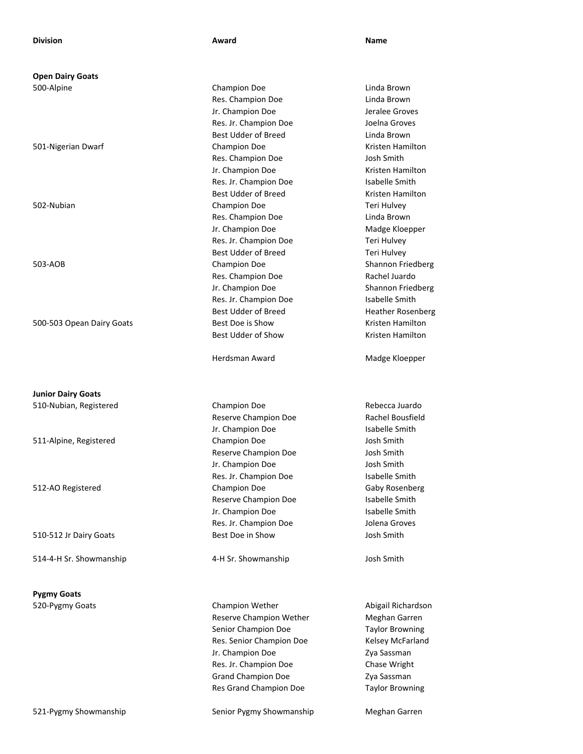**Open Dairy Goats**

500-503 Opean Dairy Goats **Best Doe is Show Best Doe is Show** Kristen Hamilton

**Junior Dairy Goats**

514-4-H Sr. Showmanship 4-H Sr. Showmanship Josh Smith

**Pygmy Goats**

500-Alpine Champion Doe Linda Brown Res. Champion Doe Linda Brown Jr. Champion Doe Jeralee Groves Res. Jr. Champion Doe Joelna Groves Best Udder of Breed Linda Brown 501-Nigerian Dwarf Champion Doe Kristen Hamilton Res. Champion Doe Josh Smith Jr. Champion Doe Kristen Hamilton Res. Jr. Champion Doe Isabelle Smith Best Udder of Breed Kristen Hamilton 502-Nubian Champion Doe Teri Hulvey Res. Champion Doe Linda Brown Jr. Champion Doe Madge Kloepper Res. Jr. Champion Doe Teri Hulvey Best Udder of Breed Teri Hulvey 503-AOB Champion Doe Shannon Friedberg Res. Champion Doe Rachel Juardo Jr. Champion Doe Shannon Friedberg Res. Jr. Champion Doe Isabelle Smith Best Udder of Breed Heather Rosenberg Best Udder of Show **Kristen Hamilton** 

Herdsman Award Madge Kloepper

510-Nubian, Registered Champion Doe Rebecca Juardo Reserve Champion Doe Rachel Bousfield Jr. Champion Doe Isabelle Smith 511-Alpine, Registered Champion Doe Josh Smith Reserve Champion Doe **Sandburg School** Josh Smith Jr. Champion Doe Josh Smith Res. Jr. Champion Doe Isabelle Smith 512-AO Registered Champion Doe Gaby Rosenberg Reserve Champion Doe **Isabelle Smith** Jr. Champion Doe Isabelle Smith Res. Jr. Champion Doe Jolena Groves 510-512 Jr Dairy Goats Best Doe in Show Josh Smith

520-Pygmy Goats **Champion Wether** Champion Wether Abigail Richardson Reserve Champion Wether Meghan Garren Senior Champion Doe Taylor Browning Res. Senior Champion Doe Kelsey McFarland Jr. Champion Doe Zya Sassman Res. Jr. Champion Doe Chase Wright Grand Champion Doe **Zya Sassman** Res Grand Champion Doe Taylor Browning

521-Pygmy Showmanship Senior Pygmy Showmanship Meghan Garren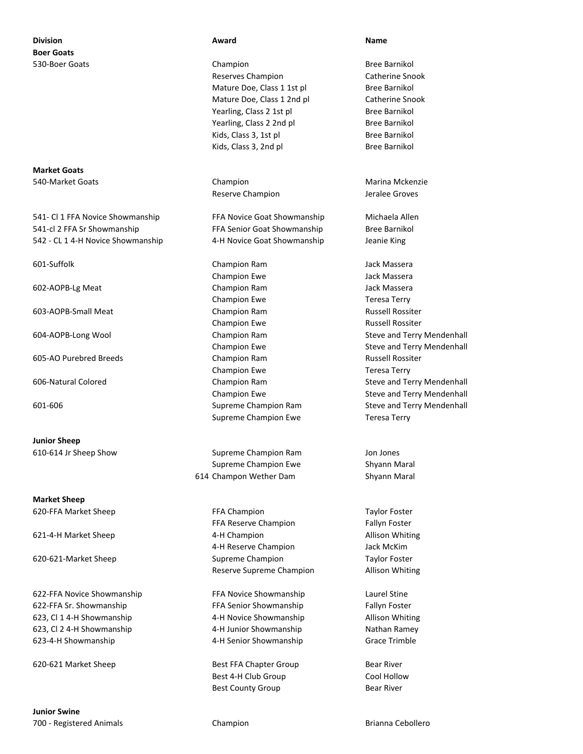# **Division Award Name Boer Goats**

**Market Goats** 540-Market Goats **Champion** Champion Champion Marina Mckenzie

541- Cl 1 FFA Novice Showmanship FFA Novice Goat Showmanship Michaela Allen 541-cl 2 FFA Sr Showmanship **FFA Senior Goat Showmanship** Bree Barnikol 542 - CL 1 4-H Novice Showmanship 4-H Novice Goat Showmanship Jeanie King

605-AO Purebred Breeds Champion Ram Russell Rossiter

**Junior Sheep**

**Market Sheep**

622-FFA Novice Showmanship FFA Novice Showmanship Laurel Stine 622-FFA Sr. Showmanship FFA Senior Showmanship Fallyn Foster 623, Cl 1 4-H Showmanship 4-H Novice Showmanship Allison Whiting 623, Cl 2 4-H Showmanship 4-H Junior Showmanship Nathan Ramey 623-4-H Showmanship 4-H Senior Showmanship Grace Trimble

**Junior Swine** 700 - Registered Animals Champion Brianna Cebollero

530-Boer Goats **Champion** Champion **Bree Barnikol** Reserves Champion **Catherine Snook** Mature Doe, Class 1 1st pl Bree Barnikol Mature Doe, Class 1 2nd pl Catherine Snook Yearling, Class 2 1st pl Bree Barnikol Yearling, Class 2 2nd pl Bree Barnikol Kids, Class 3, 1st pl Bree Barnikol Kids, Class 3, 2nd pl Bree Barnikol

Reserve Champion and Jeralee Groves

601-Suffolk Champion Ram Jack Massera Champion Ewe **Jack Massera** 602-AOPB-Lg Meat Champion Ram Jack Massera Champion Ewe Teresa Terry 603-AOPB-Small Meat Champion Ram Russell Rossiter Champion Ewe **Russell Rossiter** Russell Rossiter Champion Ewe Teresa Terry Supreme Champion Ewe Teresa Terry

610-614 Jr Sheep Show Supreme Champion Ram Jon Jones Supreme Champion Ewe Shyann Maral 614 Champon Wether Dam Shyann Maral

620-FFA Market Sheep Taylor Foster FFA Champion Taylor Foster FFA Reserve Champion Fallyn Foster 621-4-H Market Sheep **4-H Champion** 4-H Champion Allison Whiting 4-H Reserve Champion Jack McKim 620-621-Market Sheep Supreme Champion Taylor Foster Reserve Supreme Champion **Allison Whiting** 

620-621 Market Sheep **Best FFA Chapter Group** Bear River Best 4-H Club Group Cool Hollow Best County Group Bear River

604-AOPB-Long Wool **Champion Ram** Champion Ram Steve and Terry Mendenhall Champion Ewe **Steve and Terry Mendenhall** 606-Natural Colored **Champion Ram** Champion Ram Steve and Terry Mendenhall Champion Ewe **Steve and Terry Mendenhall** 601-606 Supreme Champion Ram Steve and Terry Mendenhall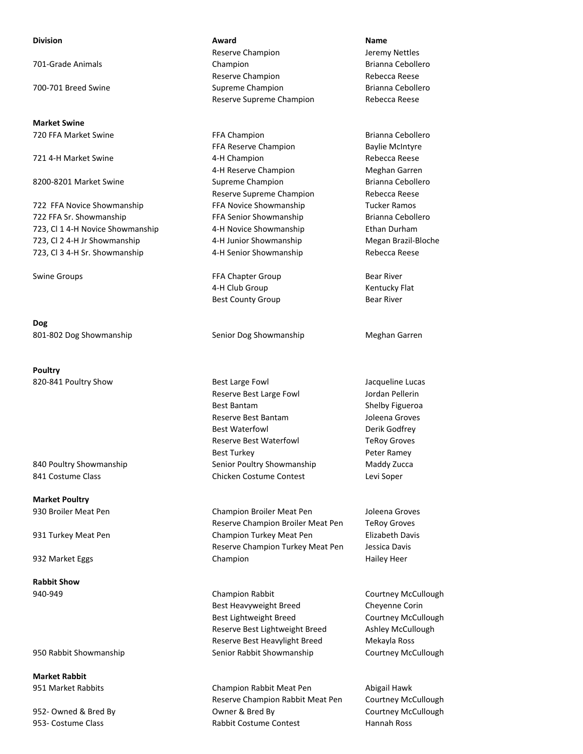**Market Swine**

722 FFA Sr. Showmanship FFA Senior Showmanship Brianna Cebollero 723, Cl 1 4-H Novice Showmanship 4-H Novice Showmanship Ethan Durham 723, Cl 2 4-H Jr Showmanship 4-H Junior Showmanship Megan Brazil-Bloche 723, Cl 3 4-H Sr. Showmanship 4-H Senior Showmanship Rebecca Reese

**Dog** 801-802 Dog Showmanship Senior Dog Showmanship Meghan Garren

**Poultry**

**Market Poultry**

**Rabbit Show**

**Market Rabbit**

## **Division Award Name** Reserve Champion **Access 19 Jeremy Nettles** 701-Grade Animals **701-Grade Animals** Champion **Champion Brianna Cebollero** Reserve Champion **Rebecca Reese** 700-701 Breed Swine Supreme Champion Brianna Cebollero Reserve Supreme Champion Rebecca Reese

720 FFA Market Swine **FRA Champion** FFA Champion Brianna Cebollero FFA Reserve Champion Baylie McIntyre 721 4-H Market Swine 4-H Champion Rebecca Reese 4-H Reserve Champion Meghan Garren 8200-8201 Market Swine Supreme Champion Supreme Champion Brianna Cebollero Reserve Supreme Champion Rebecca Reese 722 FFA Novice Showmanship FFA Novice Showmanship Tucker Ramos

Swine Groups **FFA Chapter Group Bear River Bear River** 4-H Club Group **Kentucky Flat** Best County Group Bear River

820-841 Poultry Show **Best Large Fowl** Best Large Fowl Jacqueline Lucas Reserve Best Large Fowl **Select Large Foundand Pellerin** Best Bantam Shelby Figueroa Reserve Best Bantam **Joleena Groves** Best Waterfowl **Derik Godfrey** Reserve Best Waterfowl TeRoy Groves Best Turkey **Peter Ramey** 840 Poultry Showmanship Showmanship Senior Poultry Showmanship Maddy Zucca 841 Costume Class Chicken Costume Contest Levi Soper

930 Broiler Meat Pen Champion Broiler Meat Pen Joleena Groves Reserve Champion Broiler Meat Pen TeRoy Groves 931 Turkey Meat Pen Champion Turkey Meat Pen Elizabeth Davis Reserve Champion Turkey Meat Pen Jessica Davis 932 Market Eggs **Champion** Champion **Champion** Champion **Hailey Heer** 

940-949 Champion Rabbit Courtney McCullough Best Heavyweight Breed Cheyenne Corin Best Lightweight Breed Courtney McCullough Reserve Best Lightweight Breed Ashley McCullough Reserve Best Heavylight Breed Mekayla Ross 950 Rabbit Showmanship Senior Rabbit Showmanship Courtney McCullough Courtney McCullough

951 Market Rabbits **Champion Rabbit Meat Pen** Abigail Hawk Reserve Champion Rabbit Meat Pen Courtney McCullough 952- Owned & Bred By Courtney McCullough Courtney McCullough Courtney McCullough 953- Costume Class **Rabbit Costume Contest** Hannah Ross Hannah Ross